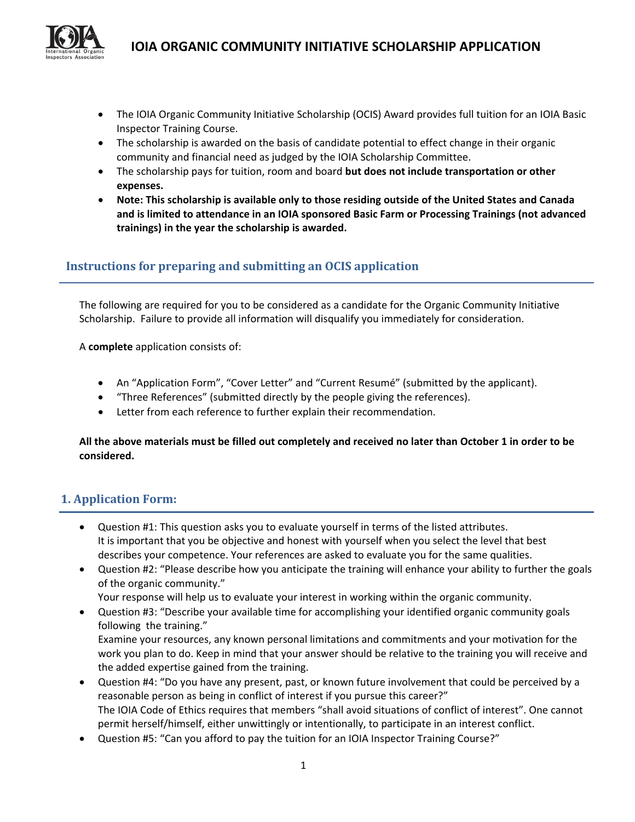

- The IOIA Organic Community Initiative Scholarship (OCIS) Award provides full tuition for an IOIA Basic Inspector Training Course.
- The scholarship is awarded on the basis of candidate potential to effect change in their organic community and financial need as judged by the IOIA Scholarship Committee.
- The scholarship pays for tuition, room and board **but does not include transportation or other expenses.**
- **Note: This scholarship is available only to those residing outside of the United States and Canada and is limited to attendance in an IOIA sponsored Basic Farm or Processing Trainings (not advanced trainings) in the year the scholarship is awarded.**

## **Instructions for preparing and submitting an OCIS application**

The following are required for you to be considered as a candidate for the Organic Community Initiative Scholarship. Failure to provide all information will disqualify you immediately for consideration.

A **complete** application consists of:

- An "Application Form", "Cover Letter" and "Current Resumé" (submitted by the applicant).
- "Three References" (submitted directly by the people giving the references).
- Letter from each reference to further explain their recommendation.

#### All the above materials must be filled out completely and received no later than October 1 in order to be **considered.**

## **1. Application Form:**

- Question #1: This question asks you to evaluate yourself in terms of the listed attributes. It is important that you be objective and honest with yourself when you select the level that best describes your competence. Your references are asked to evaluate you for the same qualities.
- Question #2: "Please describe how you anticipate the training will enhance your ability to further the goals of the organic community."
	- Your response will help us to evaluate your interest in working within the organic community.
- Question #3: "Describe your available time for accomplishing your identified organic community goals following the training." Examine your resources, any known personal limitations and commitments and your motivation for the work you plan to do. Keep in mind that your answer should be relative to the training you will receive and
- the added expertise gained from the training. Question #4: "Do you have any present, past, or known future involvement that could be perceived by a reasonable person as being in conflict of interest if you pursue this career?" The IOIA Code of Ethics requires that members "shall avoid situations of conflict of interest". One cannot permit herself/himself, either unwittingly or intentionally, to participate in an interest conflict.
- Question #5: "Can you afford to pay the tuition for an IOIA Inspector Training Course?"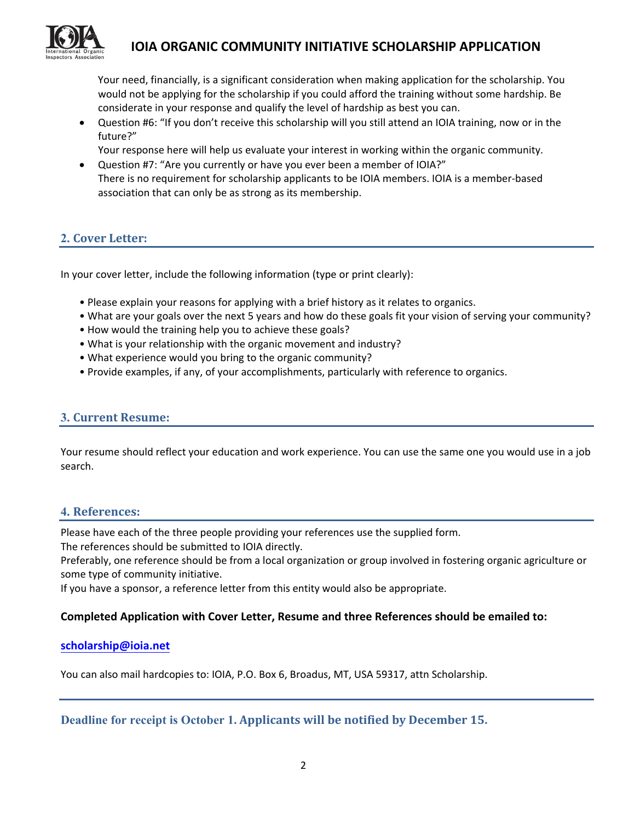

Your need, financially, is a significant consideration when making application for the scholarship. You would not be applying for the scholarship if you could afford the training without some hardship. Be considerate in your response and qualify the level of hardship as best you can.

 Question #6: "If you don't receive this scholarship will you still attend an IOIA training, now or in the future?"

Your response here will help us evaluate your interest in working within the organic community.

 Question #7: "Are you currently or have you ever been a member of IOIA?" There is no requirement for scholarship applicants to be IOIA members. IOIA is a member‐based association that can only be as strong as its membership.

## **2. Cover Letter:**

In your cover letter, include the following information (type or print clearly):

- Please explain your reasons for applying with a brief history as it relates to organics.
- What are your goals over the next 5 years and how do these goals fit your vision of serving your community?
- How would the training help you to achieve these goals?
- What is your relationship with the organic movement and industry?
- What experience would you bring to the organic community?
- Provide examples, if any, of your accomplishments, particularly with reference to organics.

### **3. Current Resume:**

Your resume should reflect your education and work experience. You can use the same one you would use in a job search.

#### **4. References:**

Please have each of the three people providing your references use the supplied form.

The references should be submitted to IOIA directly.

Preferably, one reference should be from a local organization or group involved in fostering organic agriculture or some type of community initiative.

If you have a sponsor, a reference letter from this entity would also be appropriate.

#### **Completed Application with Cover Letter, Resume and three References should be emailed to:**

#### **[scholarship@ioia.net](mailto:scholarship@ioia.net)**

You can also mail hardcopies to: IOIA, P.O. Box 6, Broadus, MT, USA 59317, attn Scholarship.

**Deadline for receipt is October 1. Applicants will be notified by December 15.**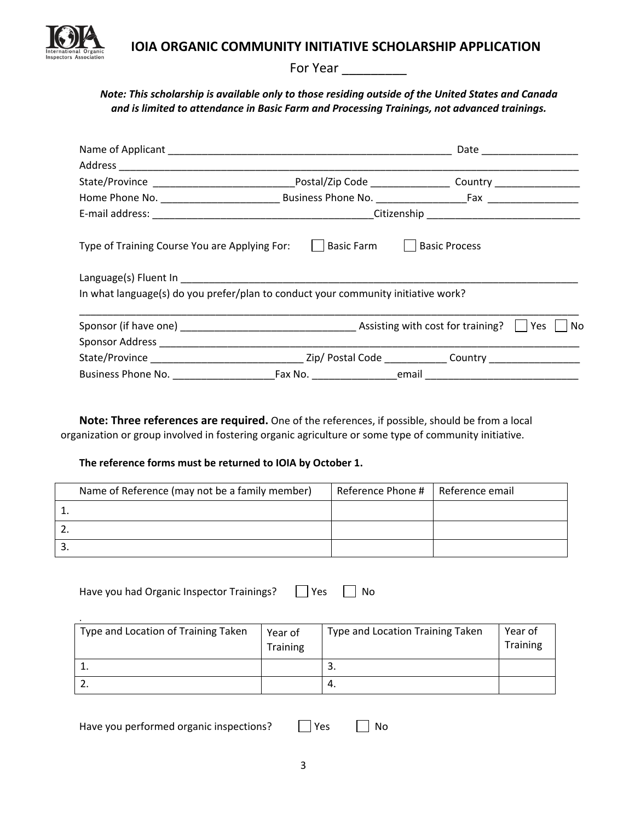

For Year \_\_\_\_\_\_\_\_\_

### *Note: This scholarship is available only to those residing outside of the United States and Canada and is limited to attendance in Basic Farm and Processing Trainings, not advanced trainings.*

|                                                                                   |  |                      | Date ______________________ |
|-----------------------------------------------------------------------------------|--|----------------------|-----------------------------|
|                                                                                   |  |                      |                             |
|                                                                                   |  |                      |                             |
|                                                                                   |  |                      |                             |
|                                                                                   |  |                      |                             |
| Type of Training Course You are Applying For:     Basic Farm                      |  | <b>Basic Process</b> |                             |
| In what language(s) do you prefer/plan to conduct your community initiative work? |  |                      |                             |
|                                                                                   |  |                      | .No                         |
|                                                                                   |  |                      |                             |
|                                                                                   |  |                      |                             |

**Note: Three references are required.** One of the references, if possible, should be from a local organization or group involved in fostering organic agriculture or some type of community initiative.

#### **The reference forms must be returned to IOIA by October 1.**

| Name of Reference (may not be a family member) | Reference Phone #   Reference email |  |
|------------------------------------------------|-------------------------------------|--|
|                                                |                                     |  |
|                                                |                                     |  |
|                                                |                                     |  |

Have you had Organic Inspector Trainings?  $\Box$  Yes  $\Box$  No

| Type and Location of Training Taken | Year of<br>Training | Type and Location Training Taken | Year of<br><b>Training</b> |
|-------------------------------------|---------------------|----------------------------------|----------------------------|
|                                     |                     | .ر                               |                            |
|                                     |                     | 4.                               |                            |

Have you performed organic inspections?  $\Box$  Yes  $\Box$  No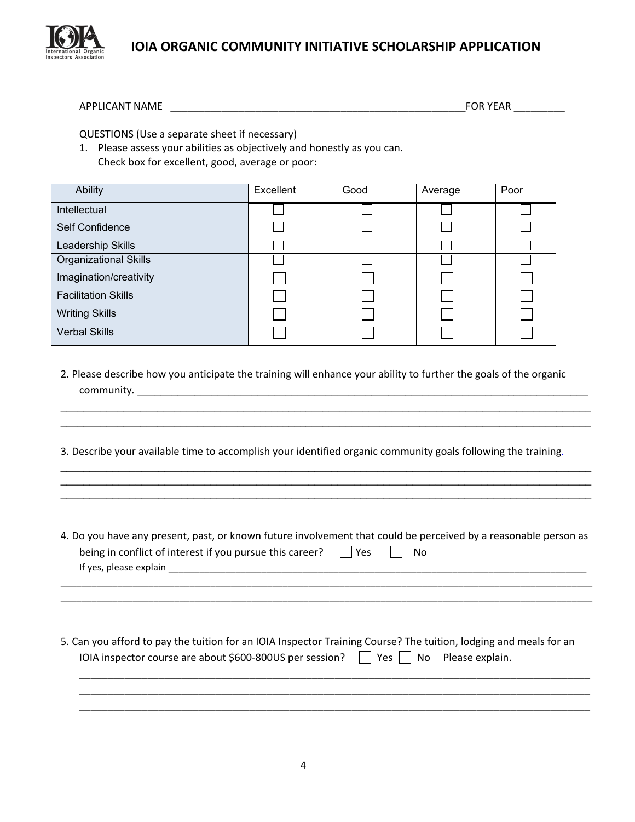

APPLICANT NAME \_\_\_\_\_\_\_\_\_\_\_\_\_\_\_\_\_\_\_\_\_\_\_\_\_\_\_\_\_\_\_\_\_\_\_\_\_\_\_\_\_\_\_\_\_\_\_\_\_\_\_\_FOR YEAR \_\_\_\_\_\_\_\_\_

QUESTIONS (Use a separate sheet if necessary)

1. Please assess your abilities as objectively and honestly as you can. Check box for excellent, good, average or poor:

| Ability                      | Excellent | Good | Average | Poor |
|------------------------------|-----------|------|---------|------|
| Intellectual                 |           |      |         |      |
| Self Confidence              |           |      |         |      |
| Leadership Skills            |           |      |         |      |
| <b>Organizational Skills</b> |           |      |         |      |
| Imagination/creativity       |           |      |         |      |
| <b>Facilitation Skills</b>   |           |      |         |      |
| <b>Writing Skills</b>        |           |      |         |      |
| Verbal Skills                |           |      |         |      |

2. Please describe how you anticipate the training will enhance your ability to further the goals of the organic community.

 $\mathcal{L}_\mathcal{L} = \mathcal{L}_\mathcal{L} = \mathcal{L}_\mathcal{L} = \mathcal{L}_\mathcal{L} = \mathcal{L}_\mathcal{L} = \mathcal{L}_\mathcal{L} = \mathcal{L}_\mathcal{L} = \mathcal{L}_\mathcal{L} = \mathcal{L}_\mathcal{L} = \mathcal{L}_\mathcal{L} = \mathcal{L}_\mathcal{L} = \mathcal{L}_\mathcal{L} = \mathcal{L}_\mathcal{L} = \mathcal{L}_\mathcal{L} = \mathcal{L}_\mathcal{L} = \mathcal{L}_\mathcal{L} = \mathcal{L}_\mathcal{L}$  $\mathcal{L}_\mathcal{L} = \mathcal{L}_\mathcal{L} = \mathcal{L}_\mathcal{L} = \mathcal{L}_\mathcal{L} = \mathcal{L}_\mathcal{L} = \mathcal{L}_\mathcal{L} = \mathcal{L}_\mathcal{L} = \mathcal{L}_\mathcal{L} = \mathcal{L}_\mathcal{L} = \mathcal{L}_\mathcal{L} = \mathcal{L}_\mathcal{L} = \mathcal{L}_\mathcal{L} = \mathcal{L}_\mathcal{L} = \mathcal{L}_\mathcal{L} = \mathcal{L}_\mathcal{L} = \mathcal{L}_\mathcal{L} = \mathcal{L}_\mathcal{L}$ 

 $\_$  . The contribution of the contribution of the contribution of the contribution of the contribution of the contribution of the contribution of the contribution of the contribution of the contribution of the contributio  $\_$  . The contribution of the contribution of the contribution of the contribution of the contribution of the contribution of the contribution of the contribution of the contribution of the contribution of the contributio  $\_$  ,  $\_$  ,  $\_$  ,  $\_$  ,  $\_$  ,  $\_$  ,  $\_$  ,  $\_$  ,  $\_$  ,  $\_$  ,  $\_$  ,  $\_$  ,  $\_$  ,  $\_$  ,  $\_$  ,  $\_$  ,  $\_$  ,  $\_$  ,  $\_$  ,  $\_$  ,  $\_$  ,  $\_$  ,  $\_$  ,  $\_$  ,  $\_$  ,  $\_$  ,  $\_$  ,  $\_$  ,  $\_$  ,  $\_$  ,  $\_$  ,  $\_$  ,  $\_$  ,  $\_$  ,  $\_$  ,  $\_$  ,  $\_$  ,

3. Describe your available time to accomplish your identified organic community goals following the training*.*

4. Do you have any present, past, or known future involvement that could be perceived by a reasonable person as being in conflict of interest if you pursue this career?  $\Box$  Yes  $\Box$  No If yes, please explain \_\_\_\_\_\_\_\_\_\_\_\_\_\_\_\_\_\_\_\_\_\_\_\_\_\_\_\_\_\_\_\_\_\_\_\_\_\_\_\_\_\_\_\_\_\_\_\_\_\_\_\_\_\_\_\_\_\_\_\_\_\_\_\_\_\_\_\_\_\_\_\_\_\_\_\_\_\_\_\_\_

\_\_\_\_\_\_\_\_\_\_\_\_\_\_\_\_\_\_\_\_\_\_\_\_\_\_\_\_\_\_\_\_\_\_\_\_\_\_\_\_\_\_\_\_\_\_\_\_\_\_\_\_\_\_\_\_\_\_\_\_\_\_\_\_\_\_\_\_\_\_\_\_\_\_\_\_\_\_\_\_\_\_\_\_\_\_\_\_\_\_\_\_\_\_\_\_\_\_\_\_\_\_\_ \_\_\_\_\_\_\_\_\_\_\_\_\_\_\_\_\_\_\_\_\_\_\_\_\_\_\_\_\_\_\_\_\_\_\_\_\_\_\_\_\_\_\_\_\_\_\_\_\_\_\_\_\_\_\_\_\_\_\_\_\_\_\_\_\_\_\_\_\_\_\_\_\_\_\_\_\_\_\_\_\_\_\_\_\_\_\_\_\_\_\_\_\_\_\_\_\_\_\_\_\_\_\_

5. Can you afford to pay the tuition for an IOIA Inspector Training Course? The tuition, lodging and meals for an IOIA inspector course are about \$600-800US per session?  $\Box$  Yes  $\Box$  No Please explain.

\_\_\_\_\_\_\_\_\_\_\_\_\_\_\_\_\_\_\_\_\_\_\_\_\_\_\_\_\_\_\_\_\_\_\_\_\_\_\_\_\_\_\_\_\_\_\_\_\_\_\_\_\_\_\_\_\_\_\_\_\_\_\_\_\_\_\_\_\_\_\_\_\_\_\_\_\_\_\_\_\_\_\_\_\_\_\_\_\_\_ \_\_\_\_\_\_\_\_\_\_\_\_\_\_\_\_\_\_\_\_\_\_\_\_\_\_\_\_\_\_\_\_\_\_\_\_\_\_\_\_\_\_\_\_\_\_\_\_\_\_\_\_\_\_\_\_\_\_\_\_\_\_\_\_\_\_\_\_\_\_\_\_\_\_\_\_\_\_\_\_\_\_\_\_\_\_\_\_\_\_ \_\_\_\_\_\_\_\_\_\_\_\_\_\_\_\_\_\_\_\_\_\_\_\_\_\_\_\_\_\_\_\_\_\_\_\_\_\_\_\_\_\_\_\_\_\_\_\_\_\_\_\_\_\_\_\_\_\_\_\_\_\_\_\_\_\_\_\_\_\_\_\_\_\_\_\_\_\_\_\_\_\_\_\_\_\_\_\_\_\_